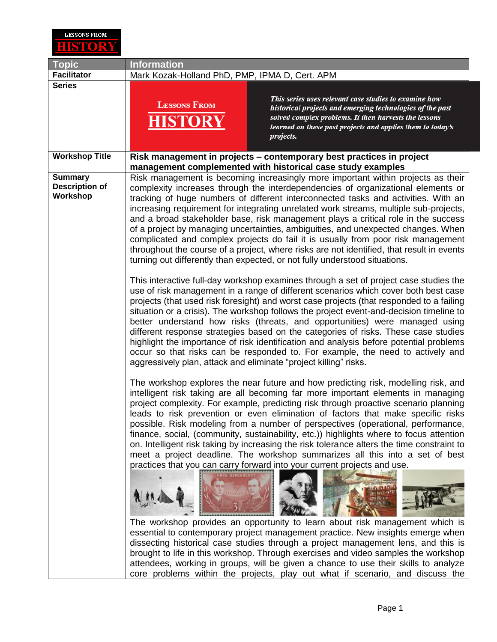